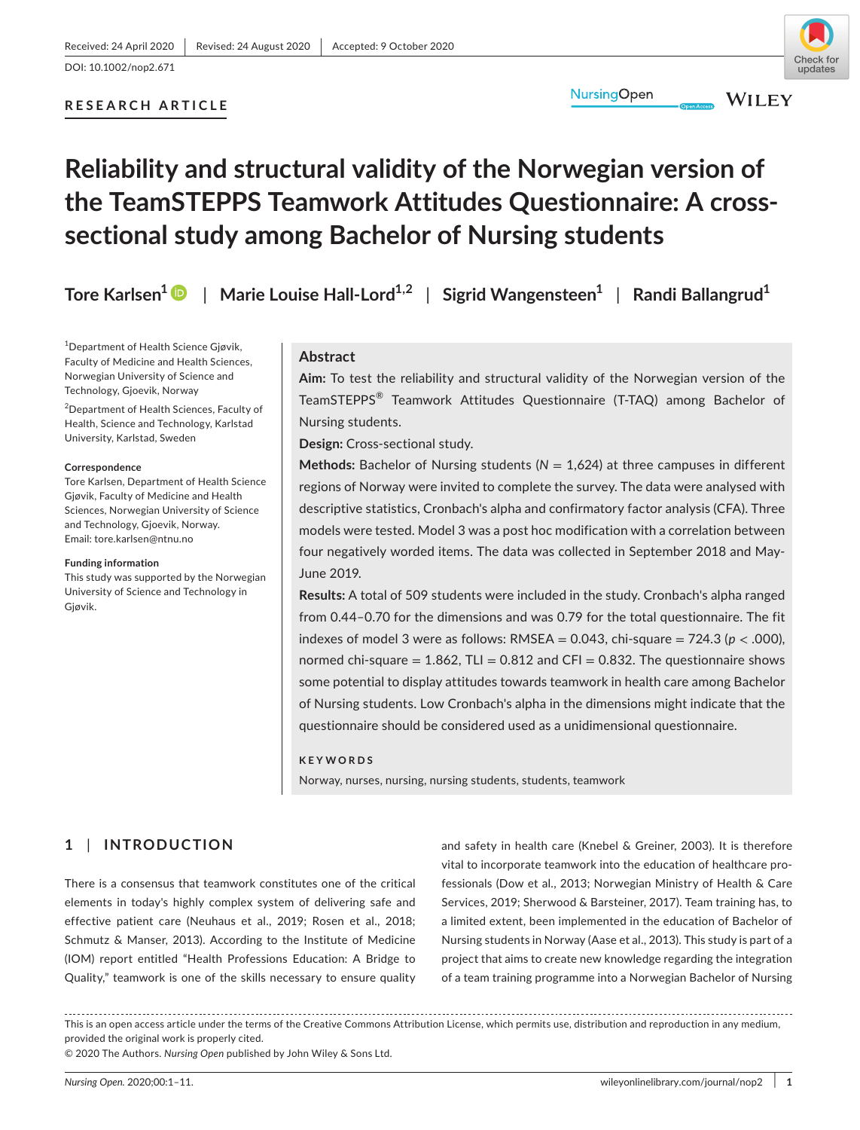# **RESEARCH ARTICLE**

# **Reliability and structural validity of the Norwegian version of the TeamSTEPPS Teamwork Attitudes Questionnaire: A crosssectional study among Bachelor of Nursing students**

**Tore Karlsen[1](https://orcid.org/0000-0002-1389-3472)** | **Marie Louise Hall-Lord1,2** | **Sigrid Wangensteen1** | **Randi Ballangrud1**

1 Department of Health Science Gjøvik, Faculty of Medicine and Health Sciences, Norwegian University of Science and Technology, Gjoevik, Norway

<sup>2</sup>Department of Health Sciences, Faculty of Health, Science and Technology, Karlstad University, Karlstad, Sweden

#### **Correspondence**

Tore Karlsen, Department of Health Science Gjøvik, Faculty of Medicine and Health Sciences, Norwegian University of Science and Technology, Gjoevik, Norway. Email: [tore.karlsen@ntnu.no](mailto:tore.karlsen@ntnu.no)

#### **Funding information**

This study was supported by the Norwegian University of Science and Technology in Gjøvik.

## **Abstract**

**Aim:** To test the reliability and structural validity of the Norwegian version of the TeamSTEPPS® Teamwork Attitudes Questionnaire (T-TAQ) among Bachelor of Nursing students.

**NursingOpen** 

**Design:** Cross-sectional study.

**Methods:** Bachelor of Nursing students (*N* = 1,624) at three campuses in different regions of Norway were invited to complete the survey. The data were analysed with descriptive statistics, Cronbach's alpha and confirmatory factor analysis (CFA). Three models were tested. Model 3 was a post hoc modification with a correlation between four negatively worded items. The data was collected in September 2018 and May-June 2019.

**Results:** A total of 509 students were included in the study. Cronbach's alpha ranged from 0.44–0.70 for the dimensions and was 0.79 for the total questionnaire. The fit indexes of model 3 were as follows:  $RMSEA = 0.043$ , chi-square =  $724.3$  ( $p < .000$ ), normed chi-square  $= 1.862$ , TLI  $= 0.812$  and CFI  $= 0.832$ . The questionnaire shows some potential to display attitudes towards teamwork in health care among Bachelor of Nursing students. Low Cronbach's alpha in the dimensions might indicate that the questionnaire should be considered used as a unidimensional questionnaire.

#### **KEYWORDS**

Norway, nurses, nursing, nursing students, students, teamwork

# **1** | **INTRODUCTION**

There is a consensus that teamwork constitutes one of the critical elements in today's highly complex system of delivering safe and effective patient care (Neuhaus et al., 2019; Rosen et al., 2018; Schmutz & Manser, 2013). According to the Institute of Medicine (IOM) report entitled "Health Professions Education: A Bridge to Quality," teamwork is one of the skills necessary to ensure quality

and safety in health care (Knebel & Greiner, 2003). It is therefore vital to incorporate teamwork into the education of healthcare professionals (Dow et al., 2013; Norwegian Ministry of Health & Care Services, 2019; Sherwood & Barsteiner, 2017). Team training has, to a limited extent, been implemented in the education of Bachelor of Nursing students in Norway (Aase et al., 2013). This study is part of a project that aims to create new knowledge regarding the integration of a team training programme into a Norwegian Bachelor of Nursing

This is an open access article under the terms of the [Creative Commons Attribution](http://creativecommons.org/licenses/by/4.0/) License, which permits use, distribution and reproduction in any medium, provided the original work is properly cited.

© 2020 The Authors. *Nursing Open* published by John Wiley & Sons Ltd.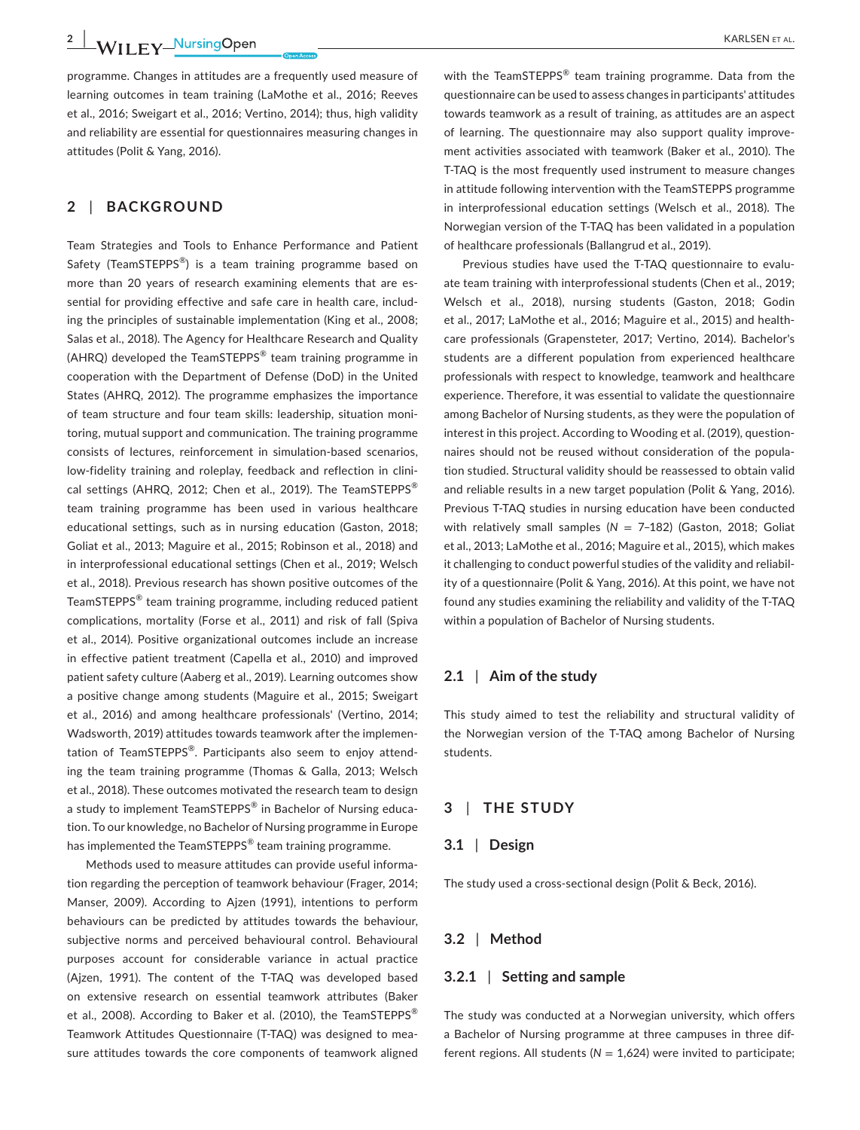programme. Changes in attitudes are a frequently used measure of learning outcomes in team training (LaMothe et al., 2016; Reeves et al., 2016; Sweigart et al., 2016; Vertino, 2014); thus, high validity and reliability are essential for questionnaires measuring changes in attitudes (Polit & Yang, 2016).

## **2** | **BACKGROUND**

Team Strategies and Tools to Enhance Performance and Patient Safety (TeamSTEPPS<sup>®</sup>) is a team training programme based on more than 20 years of research examining elements that are essential for providing effective and safe care in health care, including the principles of sustainable implementation (King et al., 2008; Salas et al., 2018). The Agency for Healthcare Research and Quality (AHRQ) developed the TeamSTEPPS® team training programme in cooperation with the Department of Defense (DoD) in the United States (AHRQ, 2012). The programme emphasizes the importance of team structure and four team skills: leadership, situation monitoring, mutual support and communication. The training programme consists of lectures, reinforcement in simulation-based scenarios, low-fidelity training and roleplay, feedback and reflection in clinical settings (AHRQ, 2012; Chen et al., 2019). The TeamSTEPPS<sup>®</sup> team training programme has been used in various healthcare educational settings, such as in nursing education (Gaston, 2018; Goliat et al., 2013; Maguire et al., 2015; Robinson et al., 2018) and in interprofessional educational settings (Chen et al., 2019; Welsch et al., 2018). Previous research has shown positive outcomes of the TeamSTEPPS® team training programme, including reduced patient complications, mortality (Forse et al., 2011) and risk of fall (Spiva et al., 2014). Positive organizational outcomes include an increase in effective patient treatment (Capella et al., 2010) and improved patient safety culture (Aaberg et al., 2019). Learning outcomes show a positive change among students (Maguire et al., 2015; Sweigart et al., 2016) and among healthcare professionals' (Vertino, 2014; Wadsworth, 2019) attitudes towards teamwork after the implementation of TeamSTEPPS®. Participants also seem to enjoy attending the team training programme (Thomas & Galla, 2013; Welsch et al., 2018). These outcomes motivated the research team to design a study to implement TeamSTEPPS<sup>®</sup> in Bachelor of Nursing education. To our knowledge, no Bachelor of Nursing programme in Europe has implemented the TeamSTEPPS<sup>®</sup> team training programme.

Methods used to measure attitudes can provide useful information regarding the perception of teamwork behaviour (Frager, 2014; Manser, 2009). According to Ajzen (1991), intentions to perform behaviours can be predicted by attitudes towards the behaviour, subjective norms and perceived behavioural control. Behavioural purposes account for considerable variance in actual practice (Ajzen, 1991). The content of the T-TAQ was developed based on extensive research on essential teamwork attributes (Baker et al., 2008). According to Baker et al. (2010), the TeamSTEPPS<sup>®</sup> Teamwork Attitudes Questionnaire (T-TAQ) was designed to measure attitudes towards the core components of teamwork aligned

with the TeamSTEPPS<sup>®</sup> team training programme. Data from the questionnaire can be used to assess changes in participants' attitudes towards teamwork as a result of training, as attitudes are an aspect of learning. The questionnaire may also support quality improvement activities associated with teamwork (Baker et al., 2010). The T-TAQ is the most frequently used instrument to measure changes in attitude following intervention with the TeamSTEPPS programme in interprofessional education settings (Welsch et al., 2018). The Norwegian version of the T-TAQ has been validated in a population of healthcare professionals (Ballangrud et al., 2019).

Previous studies have used the T-TAQ questionnaire to evaluate team training with interprofessional students (Chen et al., 2019; Welsch et al., 2018), nursing students (Gaston, 2018; Godin et al., 2017; LaMothe et al., 2016; Maguire et al., 2015) and healthcare professionals (Grapensteter, 2017; Vertino, 2014). Bachelor's students are a different population from experienced healthcare professionals with respect to knowledge, teamwork and healthcare experience. Therefore, it was essential to validate the questionnaire among Bachelor of Nursing students, as they were the population of interest in this project. According to Wooding et al. (2019), questionnaires should not be reused without consideration of the population studied. Structural validity should be reassessed to obtain valid and reliable results in a new target population (Polit & Yang, 2016). Previous T-TAQ studies in nursing education have been conducted with relatively small samples (*N* = 7–182) (Gaston, 2018; Goliat et al., 2013; LaMothe et al., 2016; Maguire et al., 2015), which makes it challenging to conduct powerful studies of the validity and reliability of a questionnaire (Polit & Yang, 2016). At this point, we have not found any studies examining the reliability and validity of the T-TAQ within a population of Bachelor of Nursing students.

#### **2.1** | **Aim of the study**

This study aimed to test the reliability and structural validity of the Norwegian version of the T-TAQ among Bachelor of Nursing students.

## **3** | **THE STUDY**

## **3.1** | **Design**

The study used a cross-sectional design (Polit & Beck, 2016).

#### **3.2** | **Method**

#### **3.2.1** | **Setting and sample**

The study was conducted at a Norwegian university, which offers a Bachelor of Nursing programme at three campuses in three different regions. All students ( $N = 1,624$ ) were invited to participate;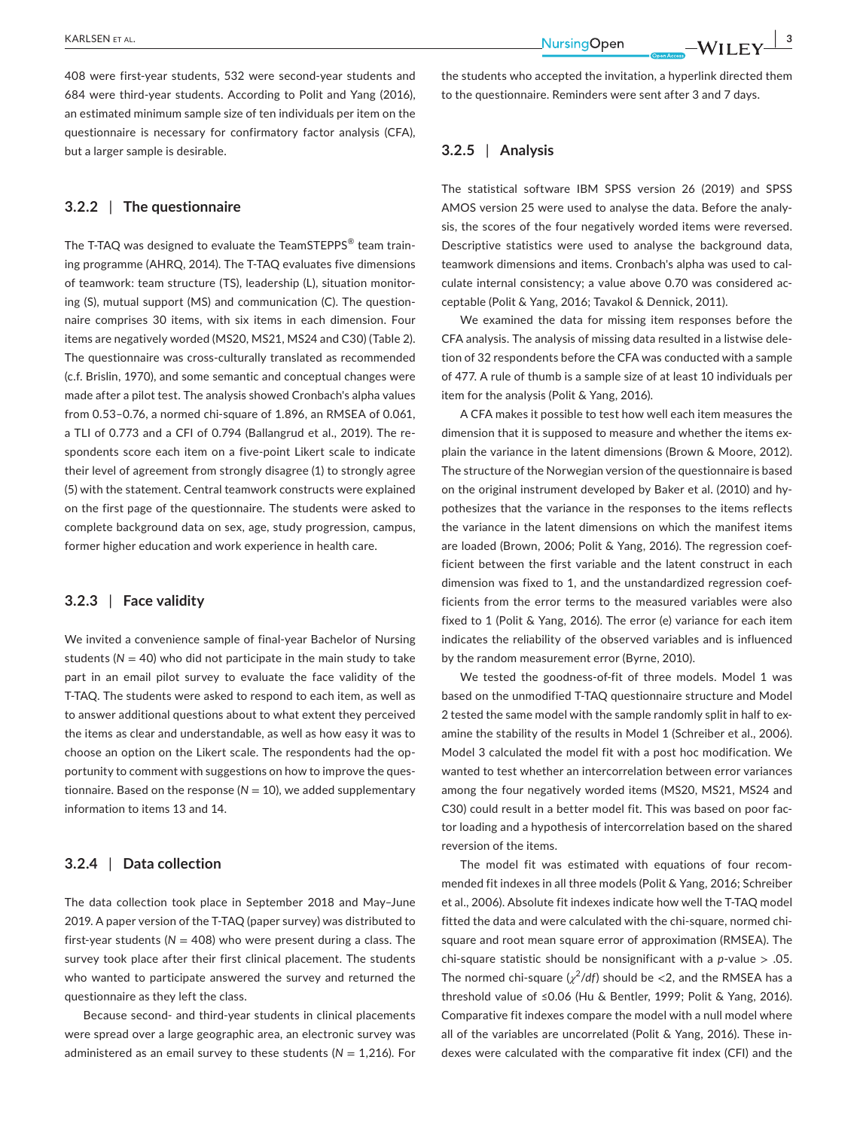408 were first-year students, 532 were second-year students and 684 were third-year students. According to Polit and Yang (2016), an estimated minimum sample size of ten individuals per item on the questionnaire is necessary for confirmatory factor analysis (CFA), but a larger sample is desirable.

### **3.2.2** | **The questionnaire**

The T-TAQ was designed to evaluate the TeamSTEPPS<sup>®</sup> team training programme (AHRQ, 2014). The T-TAQ evaluates five dimensions of teamwork: team structure (TS), leadership (L), situation monitoring (S), mutual support (MS) and communication (C). The questionnaire comprises 30 items, with six items in each dimension. Four items are negatively worded (MS20, MS21, MS24 and C30) (Table 2). The questionnaire was cross-culturally translated as recommended (c.f. Brislin, 1970), and some semantic and conceptual changes were made after a pilot test. The analysis showed Cronbach's alpha values from 0.53–0.76, a normed chi-square of 1.896, an RMSEA of 0.061, a TLI of 0.773 and a CFI of 0.794 (Ballangrud et al., 2019). The respondents score each item on a five-point Likert scale to indicate their level of agreement from strongly disagree (1) to strongly agree (5) with the statement. Central teamwork constructs were explained on the first page of the questionnaire. The students were asked to complete background data on sex, age, study progression, campus, former higher education and work experience in health care.

#### **3.2.3** | **Face validity**

We invited a convenience sample of final-year Bachelor of Nursing students ( $N = 40$ ) who did not participate in the main study to take part in an email pilot survey to evaluate the face validity of the T-TAQ. The students were asked to respond to each item, as well as to answer additional questions about to what extent they perceived the items as clear and understandable, as well as how easy it was to choose an option on the Likert scale. The respondents had the opportunity to comment with suggestions on how to improve the questionnaire. Based on the response ( $N = 10$ ), we added supplementary information to items 13 and 14.

# **3.2.4** | **Data collection**

The data collection took place in September 2018 and May–June 2019. A paper version of the T-TAQ (paper survey) was distributed to first-year students ( $N = 408$ ) who were present during a class. The survey took place after their first clinical placement. The students who wanted to participate answered the survey and returned the questionnaire as they left the class.

Because second- and third-year students in clinical placements were spread over a large geographic area, an electronic survey was administered as an email survey to these students (*N* = 1,216). For

 **|** KARLSEN et al. **3**

the students who accepted the invitation, a hyperlink directed them to the questionnaire. Reminders were sent after 3 and 7 days.

## **3.2.5** | **Analysis**

The statistical software IBM SPSS version 26 (2019) and SPSS AMOS version 25 were used to analyse the data. Before the analysis, the scores of the four negatively worded items were reversed. Descriptive statistics were used to analyse the background data, teamwork dimensions and items. Cronbach's alpha was used to calculate internal consistency; a value above 0.70 was considered acceptable (Polit & Yang, 2016; Tavakol & Dennick, 2011).

We examined the data for missing item responses before the CFA analysis. The analysis of missing data resulted in a listwise deletion of 32 respondents before the CFA was conducted with a sample of 477. A rule of thumb is a sample size of at least 10 individuals per item for the analysis (Polit & Yang, 2016).

A CFA makes it possible to test how well each item measures the dimension that it is supposed to measure and whether the items explain the variance in the latent dimensions (Brown & Moore, 2012). The structure of the Norwegian version of the questionnaire is based on the original instrument developed by Baker et al. (2010) and hypothesizes that the variance in the responses to the items reflects the variance in the latent dimensions on which the manifest items are loaded (Brown, 2006; Polit & Yang, 2016). The regression coefficient between the first variable and the latent construct in each dimension was fixed to 1, and the unstandardized regression coefficients from the error terms to the measured variables were also fixed to 1 (Polit & Yang, 2016). The error (e) variance for each item indicates the reliability of the observed variables and is influenced by the random measurement error (Byrne, 2010).

We tested the goodness-of-fit of three models. Model 1 was based on the unmodified T-TAQ questionnaire structure and Model 2 tested the same model with the sample randomly split in half to examine the stability of the results in Model 1 (Schreiber et al., 2006). Model 3 calculated the model fit with a post hoc modification. We wanted to test whether an intercorrelation between error variances among the four negatively worded items (MS20, MS21, MS24 and C30) could result in a better model fit. This was based on poor factor loading and a hypothesis of intercorrelation based on the shared reversion of the items.

The model fit was estimated with equations of four recommended fit indexes in all three models (Polit & Yang, 2016; Schreiber et al., 2006). Absolute fit indexes indicate how well the T-TAQ model fitted the data and were calculated with the chi-square, normed chisquare and root mean square error of approximation (RMSEA). The chi-square statistic should be nonsignificant with a *p*-value > .05. The normed chi-square  $(\chi^2/df)$  should be  $<$ 2, and the RMSEA has a threshold value of ≤0.06 (Hu & Bentler, 1999; Polit & Yang, 2016). Comparative fit indexes compare the model with a null model where all of the variables are uncorrelated (Polit & Yang, 2016). These indexes were calculated with the comparative fit index (CFI) and the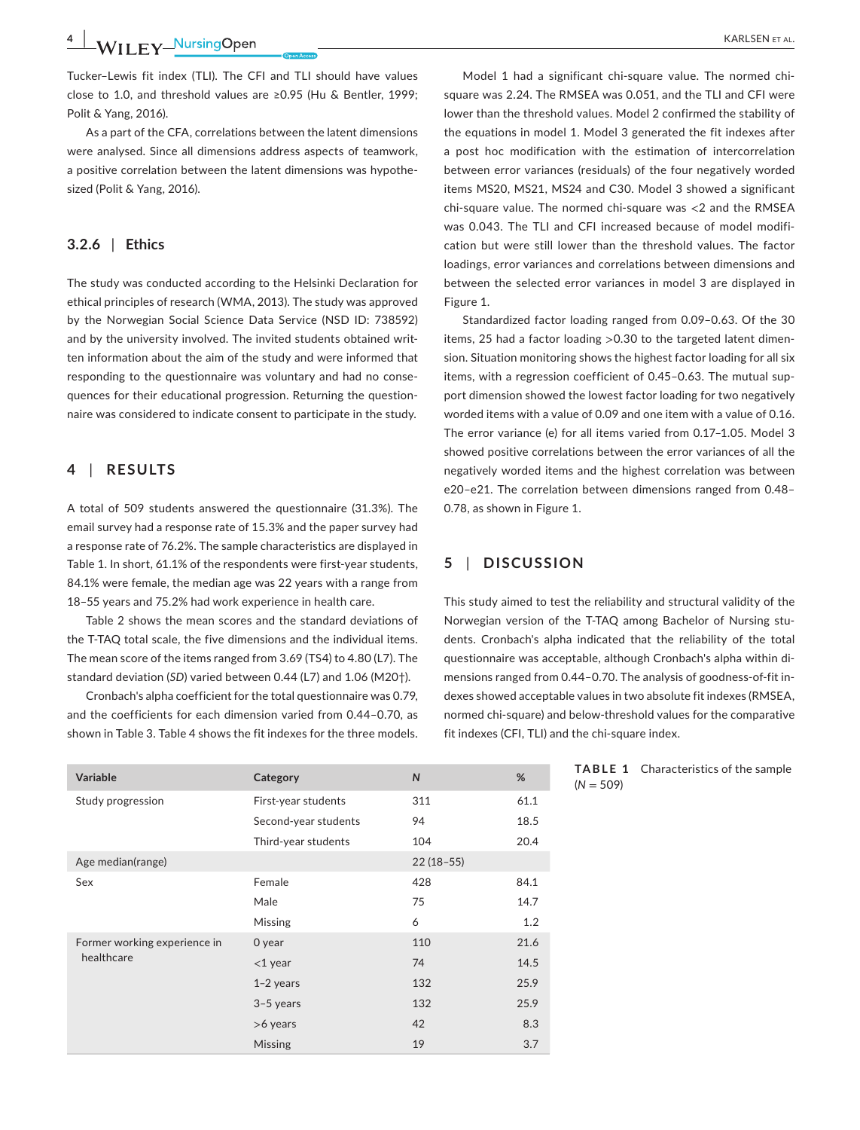**4 |**  KARLSEN et al.

Tucker–Lewis fit index (TLI). The CFI and TLI should have values close to 1.0, and threshold values are ≥0.95 (Hu & Bentler, 1999; Polit & Yang, 2016).

As a part of the CFA, correlations between the latent dimensions were analysed. Since all dimensions address aspects of teamwork, a positive correlation between the latent dimensions was hypothesized (Polit & Yang, 2016).

## **3.2.6** | **Ethics**

The study was conducted according to the Helsinki Declaration for ethical principles of research (WMA, 2013). The study was approved by the Norwegian Social Science Data Service (NSD ID: 738592) and by the university involved. The invited students obtained written information about the aim of the study and were informed that responding to the questionnaire was voluntary and had no consequences for their educational progression. Returning the questionnaire was considered to indicate consent to participate in the study.

## **4** | **RESULTS**

A total of 509 students answered the questionnaire (31.3%). The email survey had a response rate of 15.3% and the paper survey had a response rate of 76.2%. The sample characteristics are displayed in Table 1. In short, 61.1% of the respondents were first-year students, 84.1% were female, the median age was 22 years with a range from 18–55 years and 75.2% had work experience in health care.

Table 2 shows the mean scores and the standard deviations of the T-TAQ total scale, the five dimensions and the individual items. The mean score of the items ranged from 3.69 (TS4) to 4.80 (L7). The standard deviation (*SD*) varied between 0.44 (L7) and 1.06 (M20†).

Cronbach's alpha coefficient for the total questionnaire was 0.79, and the coefficients for each dimension varied from 0.44–0.70, as shown in Table 3. Table 4 shows the fit indexes for the three models.

Model 1 had a significant chi-square value. The normed chisquare was 2.24. The RMSEA was 0.051, and the TLI and CFI were lower than the threshold values. Model 2 confirmed the stability of the equations in model 1. Model 3 generated the fit indexes after a post hoc modification with the estimation of intercorrelation between error variances (residuals) of the four negatively worded items MS20, MS21, MS24 and C30. Model 3 showed a significant chi-square value. The normed chi-square was <2 and the RMSEA was 0.043. The TLI and CFI increased because of model modification but were still lower than the threshold values. The factor loadings, error variances and correlations between dimensions and between the selected error variances in model 3 are displayed in Figure 1.

Standardized factor loading ranged from 0.09–0.63. Of the 30 items, 25 had a factor loading >0.30 to the targeted latent dimension. Situation monitoring shows the highest factor loading for all six items, with a regression coefficient of 0.45–0.63. The mutual support dimension showed the lowest factor loading for two negatively worded items with a value of 0.09 and one item with a value of 0.16. The error variance (e) for all items varied from 0.17–1.05. Model 3 showed positive correlations between the error variances of all the negatively worded items and the highest correlation was between e20–e21. The correlation between dimensions ranged from 0.48– 0.78, as shown in Figure 1.

## **5** | **DISCUSSION**

This study aimed to test the reliability and structural validity of the Norwegian version of the T-TAQ among Bachelor of Nursing students. Cronbach's alpha indicated that the reliability of the total questionnaire was acceptable, although Cronbach's alpha within dimensions ranged from 0.44–0.70. The analysis of goodness-of-fit indexes showed acceptable values in two absolute fit indexes (RMSEA, normed chi-square) and below-threshold values for the comparative fit indexes (CFI, TLI) and the chi-square index.

| Variable                     | Category             | $\mathsf{N}$ | %    |
|------------------------------|----------------------|--------------|------|
| Study progression            | First-year students  | 311          | 61.1 |
|                              | Second-year students | 94           | 18.5 |
|                              | Third-year students  | 104          | 20.4 |
| Age median(range)            |                      | $22(18-55)$  |      |
| Sex                          | Female               | 428          | 84.1 |
|                              | Male                 | 75           | 14.7 |
|                              | Missing              | 6            | 1.2  |
| Former working experience in | 0 year               | 110          | 21.6 |
| healthcare                   | $<$ 1 year           | 74           | 14.5 |
|                              | $1-2$ years          | 132          | 25.9 |
|                              | $3-5$ years          | 132          | 25.9 |
|                              | $>6$ years           | 42           | 8.3  |
|                              | Missing              | 19           | 3.7  |

**TABLE 1** Characteristics of the sample  $(N = 509)$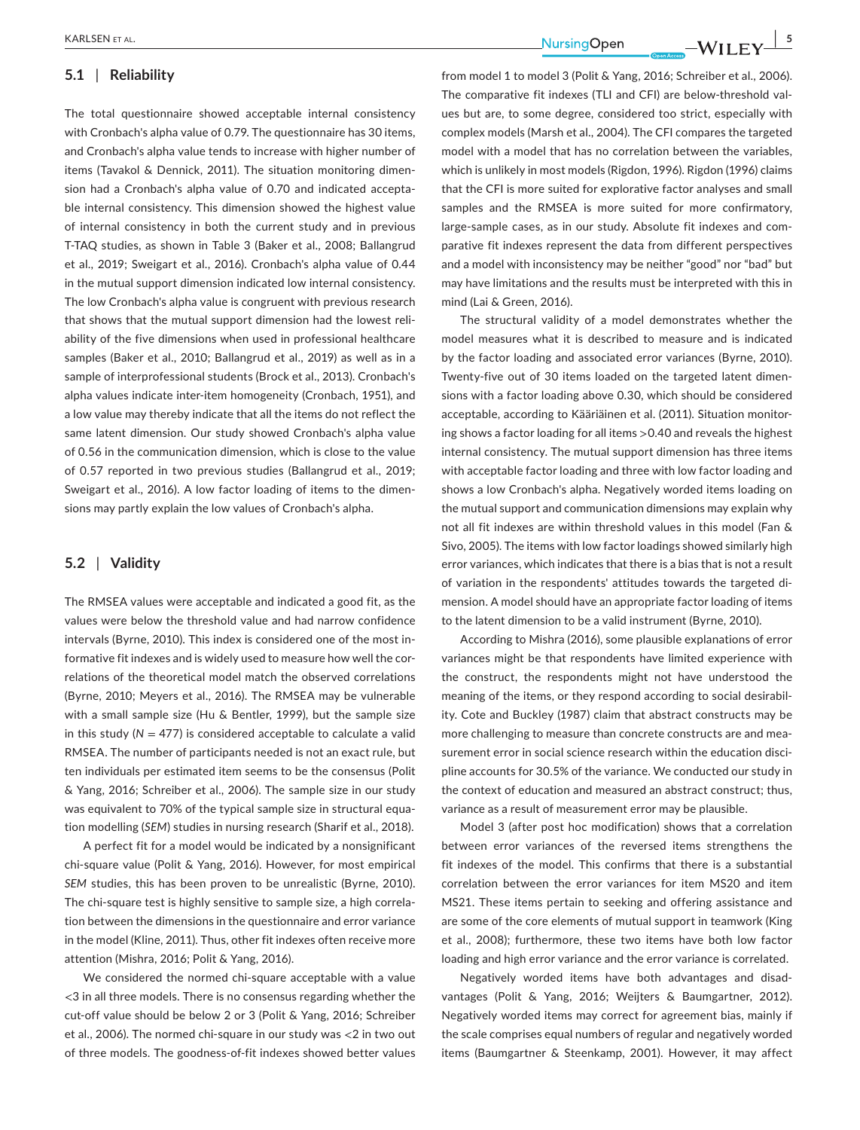## **5.1** | **Reliability**

The total questionnaire showed acceptable internal consistency with Cronbach's alpha value of 0.79. The questionnaire has 30 items, and Cronbach's alpha value tends to increase with higher number of items (Tavakol & Dennick, 2011). The situation monitoring dimension had a Cronbach's alpha value of 0.70 and indicated acceptable internal consistency. This dimension showed the highest value of internal consistency in both the current study and in previous T-TAQ studies, as shown in Table 3 (Baker et al., 2008; Ballangrud et al., 2019; Sweigart et al., 2016). Cronbach's alpha value of 0.44 in the mutual support dimension indicated low internal consistency. The low Cronbach's alpha value is congruent with previous research that shows that the mutual support dimension had the lowest reliability of the five dimensions when used in professional healthcare samples (Baker et al., 2010; Ballangrud et al., 2019) as well as in a sample of interprofessional students (Brock et al., 2013). Cronbach's alpha values indicate inter-item homogeneity (Cronbach, 1951), and a low value may thereby indicate that all the items do not reflect the same latent dimension. Our study showed Cronbach's alpha value of 0.56 in the communication dimension, which is close to the value of 0.57 reported in two previous studies (Ballangrud et al., 2019; Sweigart et al., 2016). A low factor loading of items to the dimensions may partly explain the low values of Cronbach's alpha.

## **5.2** | **Validity**

The RMSEA values were acceptable and indicated a good fit, as the values were below the threshold value and had narrow confidence intervals (Byrne, 2010). This index is considered one of the most informative fit indexes and is widely used to measure how well the correlations of the theoretical model match the observed correlations (Byrne, 2010; Meyers et al., 2016). The RMSEA may be vulnerable with a small sample size (Hu & Bentler, 1999), but the sample size in this study ( $N = 477$ ) is considered acceptable to calculate a valid RMSEA. The number of participants needed is not an exact rule, but ten individuals per estimated item seems to be the consensus (Polit & Yang, 2016; Schreiber et al., 2006). The sample size in our study was equivalent to 70% of the typical sample size in structural equation modelling (*SEM*) studies in nursing research (Sharif et al., 2018).

A perfect fit for a model would be indicated by a nonsignificant chi-square value (Polit & Yang, 2016). However, for most empirical *SEM* studies, this has been proven to be unrealistic (Byrne, 2010). The chi-square test is highly sensitive to sample size, a high correlation between the dimensions in the questionnaire and error variance in the model (Kline, 2011). Thus, other fit indexes often receive more attention (Mishra, 2016; Polit & Yang, 2016).

We considered the normed chi-square acceptable with a value <3 in all three models. There is no consensus regarding whether the cut-off value should be below 2 or 3 (Polit & Yang, 2016; Schreiber et al., 2006). The normed chi-square in our study was <2 in two out of three models. The goodness-of-fit indexes showed better values

 **|** KARLSEN et al. **5**

from model 1 to model 3 (Polit & Yang, 2016; Schreiber et al., 2006). The comparative fit indexes (TLI and CFI) are below-threshold values but are, to some degree, considered too strict, especially with complex models (Marsh et al., 2004). The CFI compares the targeted model with a model that has no correlation between the variables, which is unlikely in most models (Rigdon, 1996). Rigdon (1996) claims that the CFI is more suited for explorative factor analyses and small samples and the RMSEA is more suited for more confirmatory, large-sample cases, as in our study. Absolute fit indexes and comparative fit indexes represent the data from different perspectives and a model with inconsistency may be neither "good" nor "bad" but may have limitations and the results must be interpreted with this in mind (Lai & Green, 2016).

The structural validity of a model demonstrates whether the model measures what it is described to measure and is indicated by the factor loading and associated error variances (Byrne, 2010). Twenty-five out of 30 items loaded on the targeted latent dimensions with a factor loading above 0.30, which should be considered acceptable, according to Kääriäinen et al. (2011). Situation monitoring shows a factor loading for all items >0.40 and reveals the highest internal consistency. The mutual support dimension has three items with acceptable factor loading and three with low factor loading and shows a low Cronbach's alpha. Negatively worded items loading on the mutual support and communication dimensions may explain why not all fit indexes are within threshold values in this model (Fan & Sivo, 2005). The items with low factor loadings showed similarly high error variances, which indicates that there is a bias that is not a result of variation in the respondents' attitudes towards the targeted dimension. A model should have an appropriate factor loading of items to the latent dimension to be a valid instrument (Byrne, 2010).

According to Mishra (2016), some plausible explanations of error variances might be that respondents have limited experience with the construct, the respondents might not have understood the meaning of the items, or they respond according to social desirability. Cote and Buckley (1987) claim that abstract constructs may be more challenging to measure than concrete constructs are and measurement error in social science research within the education discipline accounts for 30.5% of the variance. We conducted our study in the context of education and measured an abstract construct; thus, variance as a result of measurement error may be plausible.

Model 3 (after post hoc modification) shows that a correlation between error variances of the reversed items strengthens the fit indexes of the model. This confirms that there is a substantial correlation between the error variances for item MS20 and item MS21. These items pertain to seeking and offering assistance and are some of the core elements of mutual support in teamwork (King et al., 2008); furthermore, these two items have both low factor loading and high error variance and the error variance is correlated.

Negatively worded items have both advantages and disadvantages (Polit & Yang, 2016; Weijters & Baumgartner, 2012). Negatively worded items may correct for agreement bias, mainly if the scale comprises equal numbers of regular and negatively worded items (Baumgartner & Steenkamp, 2001). However, it may affect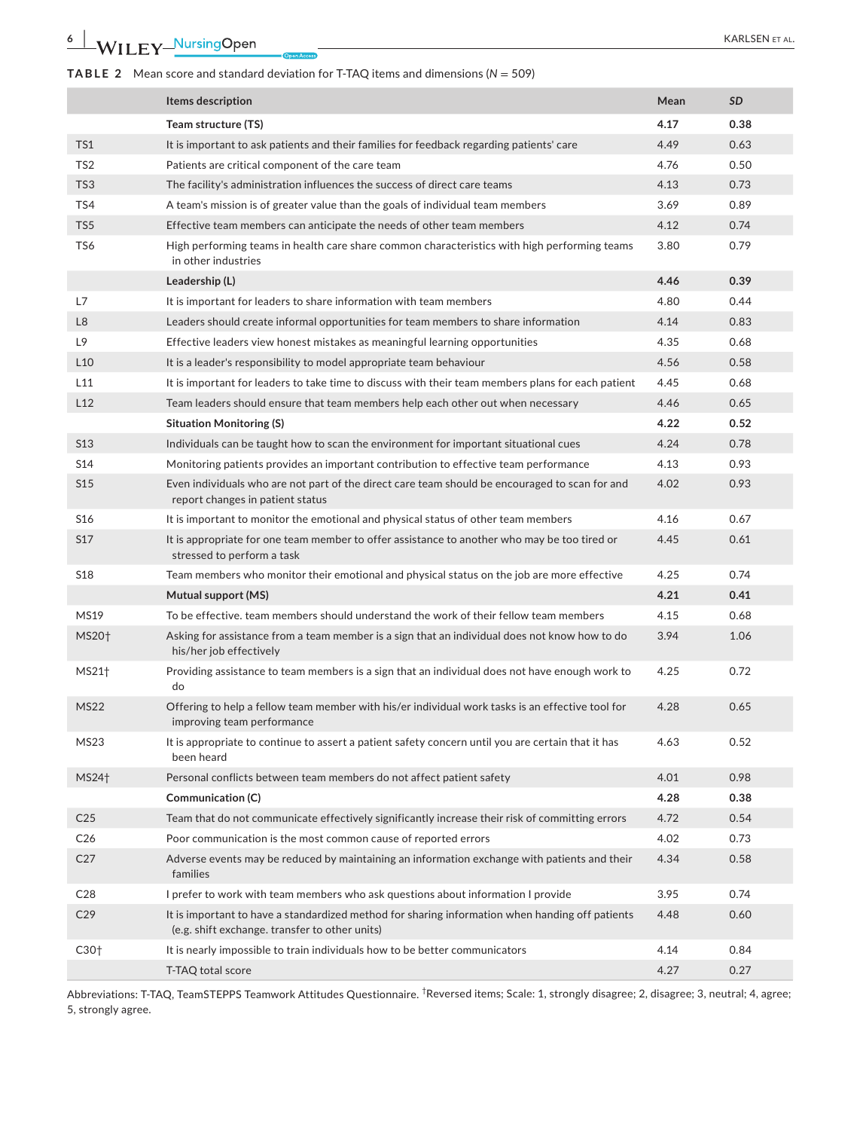## **TABLE 2** Mean score and standard deviation for T-TAQ items and dimensions (*N* = 509)

|                   | Items description                                                                                                                                 | Mean | SD   |
|-------------------|---------------------------------------------------------------------------------------------------------------------------------------------------|------|------|
|                   | Team structure (TS)                                                                                                                               | 4.17 | 0.38 |
| TS1               | It is important to ask patients and their families for feedback regarding patients' care                                                          | 4.49 | 0.63 |
| TS <sub>2</sub>   | Patients are critical component of the care team                                                                                                  | 4.76 | 0.50 |
| TS3               | The facility's administration influences the success of direct care teams                                                                         | 4.13 | 0.73 |
| TS4               | A team's mission is of greater value than the goals of individual team members                                                                    | 3.69 | 0.89 |
| TS5               | Effective team members can anticipate the needs of other team members                                                                             | 4.12 | 0.74 |
| TS6               | High performing teams in health care share common characteristics with high performing teams<br>in other industries                               | 3.80 | 0.79 |
|                   | Leadership (L)                                                                                                                                    | 4.46 | 0.39 |
| L7                | It is important for leaders to share information with team members                                                                                | 4.80 | 0.44 |
| L <sub>8</sub>    | Leaders should create informal opportunities for team members to share information                                                                | 4.14 | 0.83 |
| L9                | Effective leaders view honest mistakes as meaningful learning opportunities                                                                       | 4.35 | 0.68 |
| L <sub>10</sub>   | It is a leader's responsibility to model appropriate team behaviour                                                                               | 4.56 | 0.58 |
| L11               | It is important for leaders to take time to discuss with their team members plans for each patient                                                | 4.45 | 0.68 |
| L12               | Team leaders should ensure that team members help each other out when necessary                                                                   | 4.46 | 0.65 |
|                   | <b>Situation Monitoring (S)</b>                                                                                                                   | 4.22 | 0.52 |
| <b>S13</b>        | Individuals can be taught how to scan the environment for important situational cues                                                              | 4.24 | 0.78 |
| S14               | Monitoring patients provides an important contribution to effective team performance                                                              | 4.13 | 0.93 |
| S <sub>15</sub>   | Even individuals who are not part of the direct care team should be encouraged to scan for and<br>report changes in patient status                | 4.02 | 0.93 |
| S <sub>16</sub>   | It is important to monitor the emotional and physical status of other team members                                                                | 4.16 | 0.67 |
| S17               | It is appropriate for one team member to offer assistance to another who may be too tired or<br>stressed to perform a task                        | 4.45 | 0.61 |
| <b>S18</b>        | Team members who monitor their emotional and physical status on the job are more effective                                                        | 4.25 | 0.74 |
|                   | Mutual support (MS)                                                                                                                               | 4.21 | 0.41 |
| <b>MS19</b>       | To be effective, team members should understand the work of their fellow team members                                                             | 4.15 | 0.68 |
| MS20 <sup>+</sup> | Asking for assistance from a team member is a sign that an individual does not know how to do<br>his/her job effectively                          | 3.94 | 1.06 |
| MS21 <sup>+</sup> | Providing assistance to team members is a sign that an individual does not have enough work to<br>do                                              | 4.25 | 0.72 |
| <b>MS22</b>       | Offering to help a fellow team member with his/er individual work tasks is an effective tool for<br>improving team performance                    | 4.28 | 0.65 |
| MS23              | It is appropriate to continue to assert a patient safety concern until you are certain that it has<br>been heard                                  | 4.63 | 0.52 |
| MS24 <sup>+</sup> | Personal conflicts between team members do not affect patient safety                                                                              | 4.01 | 0.98 |
|                   | Communication (C)                                                                                                                                 | 4.28 | 0.38 |
| C <sub>25</sub>   | Team that do not communicate effectively significantly increase their risk of committing errors                                                   | 4.72 | 0.54 |
| C <sub>26</sub>   | Poor communication is the most common cause of reported errors                                                                                    | 4.02 | 0.73 |
| C <sub>27</sub>   | Adverse events may be reduced by maintaining an information exchange with patients and their<br>families                                          | 4.34 | 0.58 |
| C <sub>28</sub>   | I prefer to work with team members who ask questions about information I provide                                                                  | 3.95 | 0.74 |
| C <sub>29</sub>   | It is important to have a standardized method for sharing information when handing off patients<br>(e.g. shift exchange. transfer to other units) | 4.48 | 0.60 |
| C30 <sub>†</sub>  | It is nearly impossible to train individuals how to be better communicators                                                                       | 4.14 | 0.84 |
|                   | T-TAQ total score                                                                                                                                 | 4.27 | 0.27 |

Abbreviations: T-TAQ, TeamSTEPPS Teamwork Attitudes Questionnaire. <sup>†</sup>Reversed items; Scale: 1, strongly disagree; 2, disagree; 3, neutral; 4, agree; 5, strongly agree.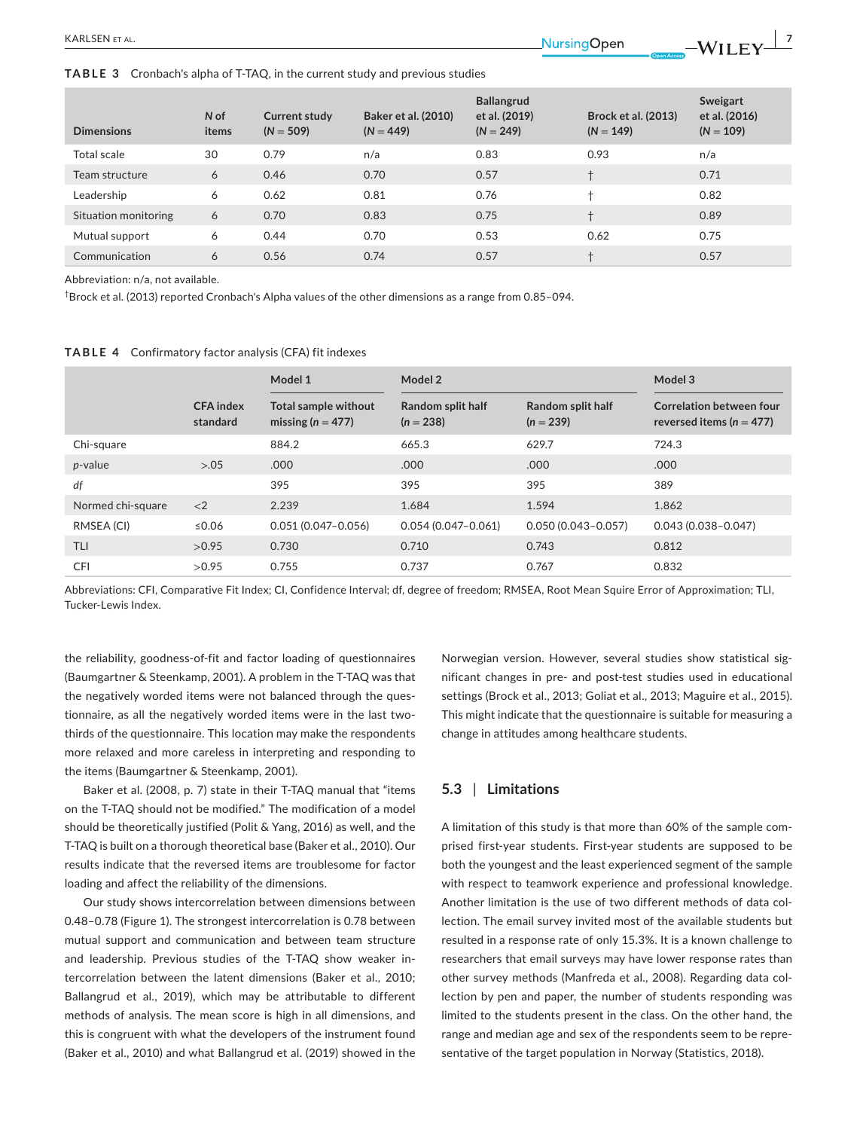**TABLE 3** Cronbach's alpha of T-TAQ, in the current study and previous studies

| <b>Dimensions</b>    | N of<br>items | Current study<br>$(N = 509)$ | <b>Baker et al. (2010)</b><br>$(N = 449)$ | <b>Ballangrud</b><br>et al. (2019)<br>$(N = 249)$ | <b>Brock et al. (2013)</b><br>$(N = 149)$ | Sweigart<br>et al. (2016)<br>$(N = 109)$ |
|----------------------|---------------|------------------------------|-------------------------------------------|---------------------------------------------------|-------------------------------------------|------------------------------------------|
| Total scale          | 30            | 0.79                         | n/a                                       | 0.83                                              | 0.93                                      | n/a                                      |
| Team structure       | 6             | 0.46                         | 0.70                                      | 0.57                                              |                                           | 0.71                                     |
| Leadership           | 6             | 0.62                         | 0.81                                      | 0.76                                              | $+$                                       | 0.82                                     |
| Situation monitoring | 6             | 0.70                         | 0.83                                      | 0.75                                              | $\ddot{}$                                 | 0.89                                     |
| Mutual support       | 6             | 0.44                         | 0.70                                      | 0.53                                              | 0.62                                      | 0.75                                     |
| Communication        | 6             | 0.56                         | 0.74                                      | 0.57                                              |                                           | 0.57                                     |

Abbreviation: n/a, not available.

 $^\dagger$ Brock et al. (2013) reported Cronbach's Alpha values of the other dimensions as a range from 0.85–094.

#### **TABLE 4** Confirmatory factor analysis (CFA) fit indexes

|                   |                              | Model 2<br>Model 1                            |                                  |                                  | Model 3                                                         |  |
|-------------------|------------------------------|-----------------------------------------------|----------------------------------|----------------------------------|-----------------------------------------------------------------|--|
|                   | <b>CFA</b> index<br>standard | Total sample without<br>missing ( $n = 477$ ) | Random split half<br>$(n = 238)$ | Random split half<br>$(n = 239)$ | <b>Correlation between four</b><br>reversed items ( $n = 477$ ) |  |
| Chi-square        |                              | 884.2                                         | 665.3                            | 629.7                            | 724.3                                                           |  |
| p-value           | > 0.05                       | .000                                          | .000                             | .000                             | .000                                                            |  |
| df                |                              | 395                                           | 395                              | 395                              | 389                                                             |  |
| Normed chi-square | $\langle 2$                  | 2.239                                         | 1.684                            | 1.594                            | 1.862                                                           |  |
| RMSEA (CI)        | ≤0.06                        | $0.051(0.047 - 0.056)$                        | $0.054(0.047-0.061)$             | $0.050(0.043 - 0.057)$           | $0.043(0.038 - 0.047)$                                          |  |
| <b>TLI</b>        | >0.95                        | 0.730                                         | 0.710                            | 0.743                            | 0.812                                                           |  |
| <b>CFI</b>        | >0.95                        | 0.755                                         | 0.737                            | 0.767                            | 0.832                                                           |  |

Abbreviations: CFI, Comparative Fit Index; CI, Confidence Interval; df, degree of freedom; RMSEA, Root Mean Squire Error of Approximation; TLI, Tucker-Lewis Index.

the reliability, goodness-of-fit and factor loading of questionnaires (Baumgartner & Steenkamp, 2001). A problem in the T-TAQ was that the negatively worded items were not balanced through the questionnaire, as all the negatively worded items were in the last twothirds of the questionnaire. This location may make the respondents more relaxed and more careless in interpreting and responding to the items (Baumgartner & Steenkamp, 2001).

Baker et al. (2008, p. 7) state in their T-TAQ manual that "items on the T-TAQ should not be modified." The modification of a model should be theoretically justified (Polit & Yang, 2016) as well, and the T-TAQ is built on a thorough theoretical base (Baker et al., 2010). Our results indicate that the reversed items are troublesome for factor loading and affect the reliability of the dimensions.

Our study shows intercorrelation between dimensions between 0.48–0.78 (Figure 1). The strongest intercorrelation is 0.78 between mutual support and communication and between team structure and leadership. Previous studies of the T-TAQ show weaker intercorrelation between the latent dimensions (Baker et al., 2010; Ballangrud et al., 2019), which may be attributable to different methods of analysis. The mean score is high in all dimensions, and this is congruent with what the developers of the instrument found (Baker et al., 2010) and what Ballangrud et al. (2019) showed in the

Norwegian version. However, several studies show statistical significant changes in pre- and post-test studies used in educational settings (Brock et al., 2013; Goliat et al., 2013; Maguire et al., 2015). This might indicate that the questionnaire is suitable for measuring a change in attitudes among healthcare students.

## **5.3** | **Limitations**

A limitation of this study is that more than 60% of the sample comprised first-year students. First-year students are supposed to be both the youngest and the least experienced segment of the sample with respect to teamwork experience and professional knowledge. Another limitation is the use of two different methods of data collection. The email survey invited most of the available students but resulted in a response rate of only 15.3%. It is a known challenge to researchers that email surveys may have lower response rates than other survey methods (Manfreda et al., 2008). Regarding data collection by pen and paper, the number of students responding was limited to the students present in the class. On the other hand, the range and median age and sex of the respondents seem to be representative of the target population in Norway (Statistics, 2018).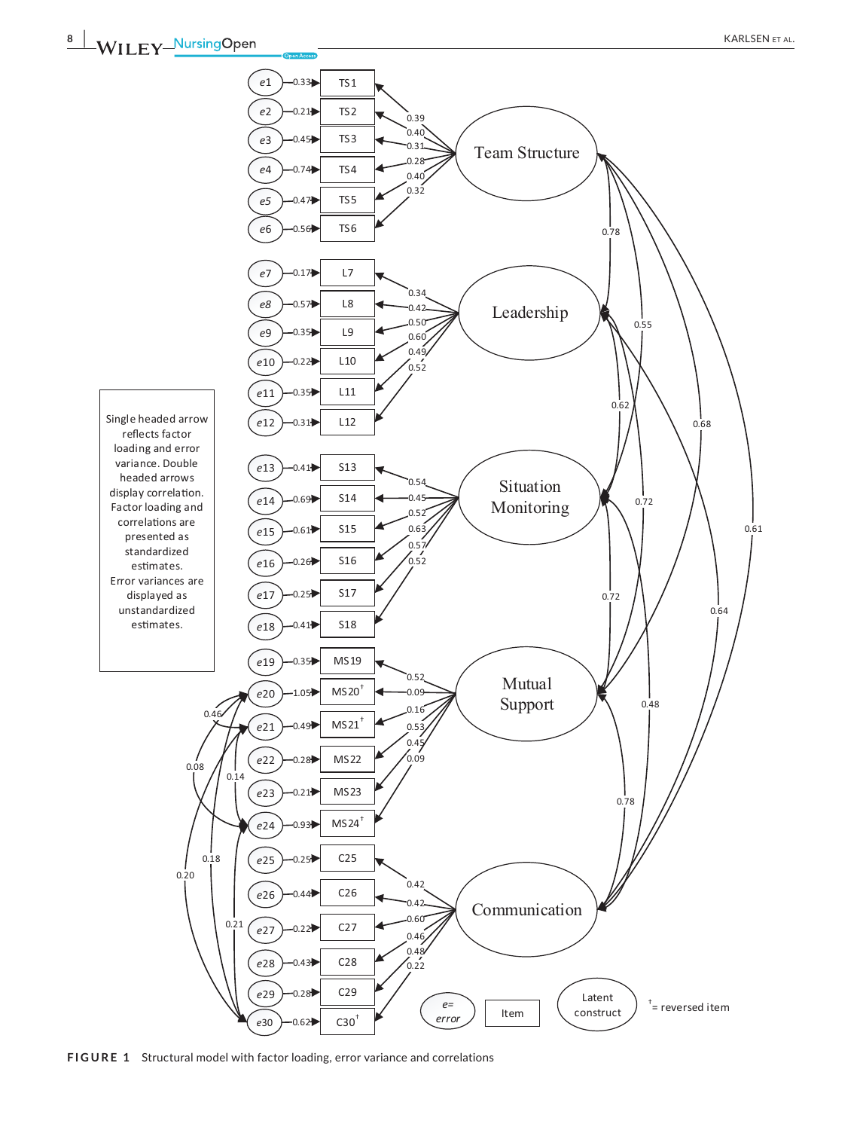

**FIGURE 1** Structural model with factor loading, error variance and correlations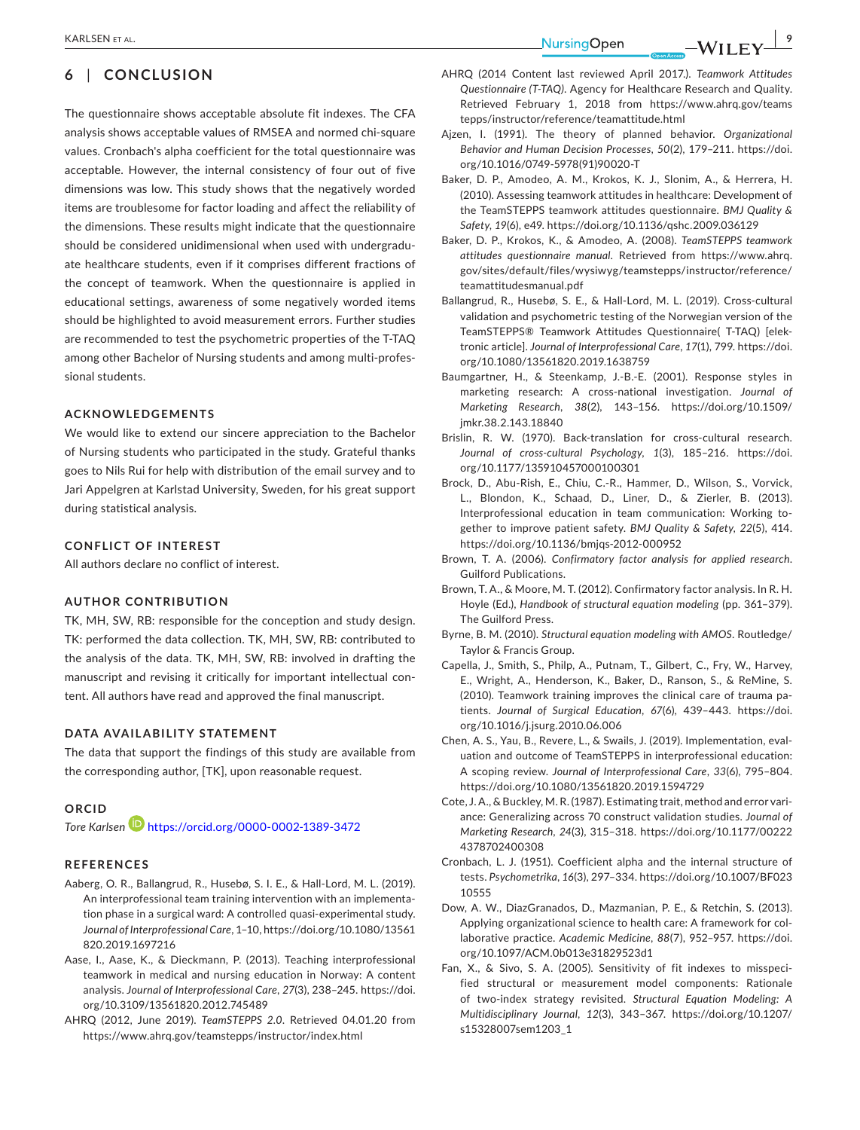## **6** | **CONCLUSION**

The questionnaire shows acceptable absolute fit indexes. The CFA analysis shows acceptable values of RMSEA and normed chi-square values. Cronbach's alpha coefficient for the total questionnaire was acceptable. However, the internal consistency of four out of five dimensions was low. This study shows that the negatively worded items are troublesome for factor loading and affect the reliability of the dimensions. These results might indicate that the questionnaire should be considered unidimensional when used with undergraduate healthcare students, even if it comprises different fractions of the concept of teamwork. When the questionnaire is applied in educational settings, awareness of some negatively worded items should be highlighted to avoid measurement errors. Further studies are recommended to test the psychometric properties of the T-TAQ among other Bachelor of Nursing students and among multi-professional students.

#### **ACKNOWLEDGEMENTS**

We would like to extend our sincere appreciation to the Bachelor of Nursing students who participated in the study. Grateful thanks goes to Nils Rui for help with distribution of the email survey and to Jari Appelgren at Karlstad University, Sweden, for his great support during statistical analysis.

#### **CONFLICT OF INTEREST**

All authors declare no conflict of interest.

#### **AUTHOR CONTRIBUTION**

TK, MH, SW, RB: responsible for the conception and study design. TK: performed the data collection. TK, MH, SW, RB: contributed to the analysis of the data. TK, MH, SW, RB: involved in drafting the manuscript and revising it critically for important intellectual content. All authors have read and approved the final manuscript.

#### **DATA AVAILABILITY STATEMENT**

The data that support the findings of this study are available from the corresponding author, [TK], upon reasonable request.

#### **ORCID**

*Tore Karlsen* <https://orcid.org/0000-0002-1389-3472>

### **REFERENCES**

- Aaberg, O. R., Ballangrud, R., Husebø, S. I. E., & Hall-Lord, M. L. (2019). An interprofessional team training intervention with an implementation phase in a surgical ward: A controlled quasi-experimental study. *Journal of Interprofessional Care*, 1–10, [https://doi.org/10.1080/13561](https://doi.org/10.1080/13561820.2019.1697216) [820.2019.1697216](https://doi.org/10.1080/13561820.2019.1697216)
- Aase, I., Aase, K., & Dieckmann, P. (2013). Teaching interprofessional teamwork in medical and nursing education in Norway: A content analysis. *Journal of Interprofessional Care*, *27*(3), 238–245. [https://doi.](https://doi.org/10.3109/13561820.2012.745489) [org/10.3109/13561820.2012.745489](https://doi.org/10.3109/13561820.2012.745489)
- AHRQ (2012, June 2019). *TeamSTEPPS 2.0*. Retrieved 04.01.20 from <https://www.ahrq.gov/teamstepps/instructor/index.html>
- AHRQ (2014 Content last reviewed April 2017.). *Teamwork Attitudes Questionnaire (T-TAQ)*. Agency for Healthcare Research and Quality. Retrieved February 1, 2018 from [https://www.ahrq.gov/teams](https://www.ahrq.gov/teamstepps/instructor/reference/teamattitude.html) [tepps/instructor/reference/teamattitude.html](https://www.ahrq.gov/teamstepps/instructor/reference/teamattitude.html)
- Ajzen, I. (1991). The theory of planned behavior. *Organizational Behavior and Human Decision Processes*, *50*(2), 179–211. [https://doi.](https://doi.org/10.1016/0749-5978(91)90020-T) [org/10.1016/0749-5978\(91\)90020-T](https://doi.org/10.1016/0749-5978(91)90020-T)
- Baker, D. P., Amodeo, A. M., Krokos, K. J., Slonim, A., & Herrera, H. (2010). Assessing teamwork attitudes in healthcare: Development of the TeamSTEPPS teamwork attitudes questionnaire. *BMJ Quality & Safety*, *19*(6), e49.<https://doi.org/10.1136/qshc.2009.036129>
- Baker, D. P., Krokos, K., & Amodeo, A. (2008). *TeamSTEPPS teamwork attitudes questionnaire manual*. Retrieved from [https://www.ahrq.](https://www.ahrq.gov/sites/default/files/wysiwyg/teamstepps/instructor/reference/teamattitudesmanual.pdf) [gov/sites/default/files/wysiwyg/teamstepps/instructor/reference/](https://www.ahrq.gov/sites/default/files/wysiwyg/teamstepps/instructor/reference/teamattitudesmanual.pdf) [teamattitudesmanual.pdf](https://www.ahrq.gov/sites/default/files/wysiwyg/teamstepps/instructor/reference/teamattitudesmanual.pdf)
- Ballangrud, R., Husebø, S. E., & Hall-Lord, M. L. (2019). Cross-cultural validation and psychometric testing of the Norwegian version of the TeamSTEPPS® Teamwork Attitudes Questionnaire( T-TAQ) [elektronic article]. *Journal of Interprofessional Care*, *17*(1), 799. [https://doi.](https://doi.org/10.1080/13561820.2019.1638759) [org/10.1080/13561820.2019.1638759](https://doi.org/10.1080/13561820.2019.1638759)
- Baumgartner, H., & Steenkamp, J.-B.-E. (2001). Response styles in marketing research: A cross-national investigation. *Journal of Marketing Research*, *38*(2), 143–156. [https://doi.org/10.1509/](https://doi.org/10.1509/jmkr.38.2.143.18840) [jmkr.38.2.143.18840](https://doi.org/10.1509/jmkr.38.2.143.18840)
- Brislin, R. W. (1970). Back-translation for cross-cultural research. *Journal of cross-cultural Psychology*, *1*(3), 185–216. [https://doi.](https://doi.org/10.1177/135910457000100301) [org/10.1177/135910457000100301](https://doi.org/10.1177/135910457000100301)
- Brock, D., Abu-Rish, E., Chiu, C.-R., Hammer, D., Wilson, S., Vorvick, L., Blondon, K., Schaad, D., Liner, D., & Zierler, B. (2013). Interprofessional education in team communication: Working together to improve patient safety. *BMJ Quality & Safety*, *22*(5), 414. <https://doi.org/10.1136/bmjqs-2012-000952>
- Brown, T. A. (2006). *Confirmatory factor analysis for applied research*. Guilford Publications.
- Brown, T. A., & Moore, M. T. (2012). Confirmatory factor analysis. In R. H. Hoyle (Ed.), *Handbook of structural equation modeling* (pp. 361–379). The Guilford Press.
- Byrne, B. M. (2010). *Structural equation modeling with AMOS*. Routledge/ Taylor & Francis Group.
- Capella, J., Smith, S., Philp, A., Putnam, T., Gilbert, C., Fry, W., Harvey, E., Wright, A., Henderson, K., Baker, D., Ranson, S., & ReMine, S. (2010). Teamwork training improves the clinical care of trauma patients. *Journal of Surgical Education*, *67*(6), 439–443. [https://doi.](https://doi.org/10.1016/j.jsurg.2010.06.006) [org/10.1016/j.jsurg.2010.06.006](https://doi.org/10.1016/j.jsurg.2010.06.006)
- Chen, A. S., Yau, B., Revere, L., & Swails, J. (2019). Implementation, evaluation and outcome of TeamSTEPPS in interprofessional education: A scoping review. *Journal of Interprofessional Care*, *33*(6), 795–804. <https://doi.org/10.1080/13561820.2019.1594729>
- Cote, J. A., & Buckley, M. R. (1987). Estimating trait, method and error variance: Generalizing across 70 construct validation studies. *Journal of Marketing Research*, *24*(3), 315–318. [https://doi.org/10.1177/00222](https://doi.org/10.1177/002224378702400308) [4378702400308](https://doi.org/10.1177/002224378702400308)
- Cronbach, L. J. (1951). Coefficient alpha and the internal structure of tests. *Psychometrika*, *16*(3), 297–334. [https://doi.org/10.1007/BF023](https://doi.org/10.1007/BF02310555) [10555](https://doi.org/10.1007/BF02310555)
- Dow, A. W., DiazGranados, D., Mazmanian, P. E., & Retchin, S. (2013). Applying organizational science to health care: A framework for collaborative practice. *Academic Medicine*, *88*(7), 952–957. [https://doi.](https://doi.org/10.1097/ACM.0b013e31829523d1) [org/10.1097/ACM.0b013e31829523d1](https://doi.org/10.1097/ACM.0b013e31829523d1)
- Fan, X., & Sivo, S. A. (2005). Sensitivity of fit indexes to misspecified structural or measurement model components: Rationale of two-index strategy revisited. *Structural Equation Modeling: A Multidisciplinary Journal*, *12*(3), 343–367. [https://doi.org/10.1207/](https://doi.org/10.1207/s15328007sem1203_1) [s15328007sem1203\\_1](https://doi.org/10.1207/s15328007sem1203_1)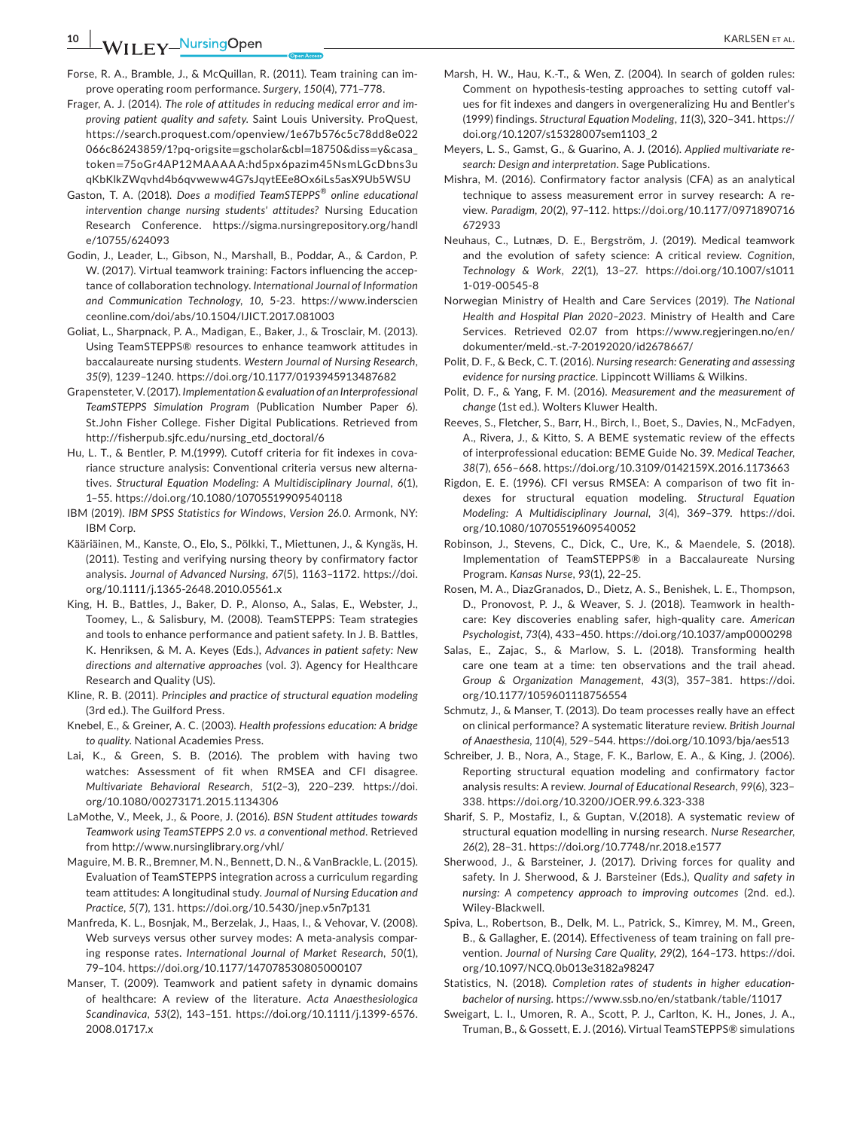**10 |**  KARLSEN et al.

- Forse, R. A., Bramble, J., & McQuillan, R. (2011). Team training can improve operating room performance. *Surgery*, *150*(4), 771–778.
- Frager, A. J. (2014). *The role of attitudes in reducing medical error and improving patient quality and safety*. Saint Louis University. ProQuest, [https://search.proquest.com/openview/1e67b576c5c78dd8e022](https://search.proquest.com/openview/1e67b576c5c78dd8e022066c86243859/1?pq-origsite=gscholar&cbl=18750&diss=y&casa_token=75oGr4AP12MAAAAA:hd5px6pazim45NsmLGcDbns3uqKbKlkZWqvhd4b6qvweww4G7sJqytEEe8Ox6iLs5asX9Ub5WSU) [066c86243859/1?pq-origsite](https://search.proquest.com/openview/1e67b576c5c78dd8e022066c86243859/1?pq-origsite=gscholar&cbl=18750&diss=y&casa_token=75oGr4AP12MAAAAA:hd5px6pazim45NsmLGcDbns3uqKbKlkZWqvhd4b6qvweww4G7sJqytEEe8Ox6iLs5asX9Ub5WSU)=gscholar&cbl=18750&diss=y&casa\_ token=[75oGr4AP12MAAAAA:hd5px6pazim45NsmLGcDbns3u](https://search.proquest.com/openview/1e67b576c5c78dd8e022066c86243859/1?pq-origsite=gscholar&cbl=18750&diss=y&casa_token=75oGr4AP12MAAAAA:hd5px6pazim45NsmLGcDbns3uqKbKlkZWqvhd4b6qvweww4G7sJqytEEe8Ox6iLs5asX9Ub5WSU) [qKbKlkZWqvhd4b6qvweww4G7sJqytEEe8Ox6iLs5asX9Ub5WSU](https://search.proquest.com/openview/1e67b576c5c78dd8e022066c86243859/1?pq-origsite=gscholar&cbl=18750&diss=y&casa_token=75oGr4AP12MAAAAA:hd5px6pazim45NsmLGcDbns3uqKbKlkZWqvhd4b6qvweww4G7sJqytEEe8Ox6iLs5asX9Ub5WSU)
- Gaston, T. A. (2018). *Does a modified TeamSTEPPS*® *online educational intervention change nursing students' attitudes?* Nursing Education Research Conference. [https://sigma.nursingrepository.org/handl](https://sigma.nursingrepository.org/handle/10755/624093) [e/10755/624093](https://sigma.nursingrepository.org/handle/10755/624093)
- Godin, J., Leader, L., Gibson, N., Marshall, B., Poddar, A., & Cardon, P. W. (2017). Virtual teamwork training: Factors influencing the acceptance of collaboration technology. *International Journal of Information and Communication Technology*, *10*, 5-23. [https://www.inderscien](https://www.inderscienceonline.com/doi/abs/10.1504/IJICT.2017.081003) [ceonline.com/doi/abs/10.1504/IJICT.2017.081003](https://www.inderscienceonline.com/doi/abs/10.1504/IJICT.2017.081003)
- Goliat, L., Sharpnack, P. A., Madigan, E., Baker, J., & Trosclair, M. (2013). Using TeamSTEPPS® resources to enhance teamwork attitudes in baccalaureate nursing students. *Western Journal of Nursing Research*, *35*(9), 1239–1240.<https://doi.org/10.1177/0193945913487682>
- Grapensteter, V. (2017). *Implementation & evaluation of an Interprofessional TeamSTEPPS Simulation Program* (Publication Number Paper 6). St.John Fisher College. Fisher Digital Publications. Retrieved from [http://fisherpub.sjfc.edu/nursing\\_etd\\_doctoral/6](http://fisherpub.sjfc.edu/nursing_etd_doctoral/6)
- Hu, L. T., & Bentler, P. M.(1999). Cutoff criteria for fit indexes in covariance structure analysis: Conventional criteria versus new alternatives. *Structural Equation Modeling: A Multidisciplinary Journal*, *6*(1), 1–55. <https://doi.org/10.1080/10705519909540118>
- IBM (2019). *IBM SPSS Statistics for Windows, Version 26.0*. Armonk, NY: IBM Corp.
- Kääriäinen, M., Kanste, O., Elo, S., Pölkki, T., Miettunen, J., & Kyngäs, H. (2011). Testing and verifying nursing theory by confirmatory factor analysis. *Journal of Advanced Nursing*, *67*(5), 1163–1172. [https://doi.](https://doi.org/10.1111/j.1365-2648.2010.05561.x) [org/10.1111/j.1365-2648.2010.05561.x](https://doi.org/10.1111/j.1365-2648.2010.05561.x)
- King, H. B., Battles, J., Baker, D. P., Alonso, A., Salas, E., Webster, J., Toomey, L., & Salisbury, M. (2008). TeamSTEPPS: Team strategies and tools to enhance performance and patient safety. In J. B. Battles, K. Henriksen, & M. A. Keyes (Eds.), *Advances in patient safety: New directions and alternative approaches* (vol. *3*). Agency for Healthcare Research and Quality (US).
- Kline, R. B. (2011). *Principles and practice of structural equation modeling* (3rd ed.). The Guilford Press.
- Knebel, E., & Greiner, A. C. (2003). *Health professions education: A bridge to quality*. National Academies Press.
- Lai, K., & Green, S. B. (2016). The problem with having two watches: Assessment of fit when RMSEA and CFI disagree. *Multivariate Behavioral Research*, *51*(2–3), 220–239. [https://doi.](https://doi.org/10.1080/00273171.2015.1134306) [org/10.1080/00273171.2015.1134306](https://doi.org/10.1080/00273171.2015.1134306)
- LaMothe, V., Meek, J., & Poore, J. (2016). *BSN Student attitudes towards Teamwork using TeamSTEPPS 2.0 vs. a conventional method*. Retrieved from <http://www.nursinglibrary.org/vhl/>
- Maguire, M. B. R., Bremner, M. N., Bennett, D. N., & VanBrackle, L. (2015). Evaluation of TeamSTEPPS integration across a curriculum regarding team attitudes: A longitudinal study. *Journal of Nursing Education and Practice*, *5*(7), 131. <https://doi.org/10.5430/jnep.v5n7p131>
- Manfreda, K. L., Bosnjak, M., Berzelak, J., Haas, I., & Vehovar, V. (2008). Web surveys versus other survey modes: A meta-analysis comparing response rates. *International Journal of Market Research*, *50*(1), 79–104. <https://doi.org/10.1177/147078530805000107>
- Manser, T. (2009). Teamwork and patient safety in dynamic domains of healthcare: A review of the literature. *Acta Anaesthesiologica Scandinavica*, *53*(2), 143–151. [https://doi.org/10.1111/j.1399-6576.](https://doi.org/10.1111/j.1399-6576.2008.01717.x) [2008.01717.x](https://doi.org/10.1111/j.1399-6576.2008.01717.x)
- Marsh, H. W., Hau, K.-T., & Wen, Z. (2004). In search of golden rules: Comment on hypothesis-testing approaches to setting cutoff values for fit indexes and dangers in overgeneralizing Hu and Bentler's (1999) findings. *Structural Equation Modeling*, *11*(3), 320–341. [https://](https://doi.org/10.1207/s15328007sem1103_2) [doi.org/10.1207/s15328007sem1103\\_2](https://doi.org/10.1207/s15328007sem1103_2)
- Meyers, L. S., Gamst, G., & Guarino, A. J. (2016). *Applied multivariate research: Design and interpretation*. Sage Publications.
- Mishra, M. (2016). Confirmatory factor analysis (CFA) as an analytical technique to assess measurement error in survey research: A review. *Paradigm*, *20*(2), 97–112. [https://doi.org/10.1177/0971890716](https://doi.org/10.1177/0971890716672933) [672933](https://doi.org/10.1177/0971890716672933)
- Neuhaus, C., Lutnæs, D. E., Bergström, J. (2019). Medical teamwork and the evolution of safety science: A critical review. *Cognition, Technology & Work*, *22*(1), 13–27. [https://doi.org/10.1007/s1011](https://doi.org/10.1007/s10111-019-00545-8) [1-019-00545-8](https://doi.org/10.1007/s10111-019-00545-8)
- Norwegian Ministry of Health and Care Services (2019). *The National Health and Hospital Plan 2020–2023*. Ministry of Health and Care Services. Retrieved 02.07 from [https://www.regjeringen.no/en/](https://www.regjeringen.no/en/dokumenter/meld.-st.-7-20192020/id2678667/) [dokumenter/meld.-st.-7-20192020/id2678667/](https://www.regjeringen.no/en/dokumenter/meld.-st.-7-20192020/id2678667/)
- Polit, D. F., & Beck, C. T. (2016). *Nursing research: Generating and assessing evidence for nursing practice*. Lippincott Williams & Wilkins.
- Polit, D. F., & Yang, F. M. (2016). *Measurement and the measurement of change* (1st ed.). Wolters Kluwer Health.
- Reeves, S., Fletcher, S., Barr, H., Birch, I., Boet, S., Davies, N., McFadyen, A., Rivera, J., & Kitto, S. A BEME systematic review of the effects of interprofessional education: BEME Guide No. 39. *Medical Teacher*, *38*(7), 656–668. <https://doi.org/10.3109/0142159X.2016.1173663>
- Rigdon, E. E. (1996). CFI versus RMSEA: A comparison of two fit indexes for structural equation modeling. *Structural Equation Modeling: A Multidisciplinary Journal*, *3*(4), 369–379. [https://doi.](https://doi.org/10.1080/10705519609540052) [org/10.1080/10705519609540052](https://doi.org/10.1080/10705519609540052)
- Robinson, J., Stevens, C., Dick, C., Ure, K., & Maendele, S. (2018). Implementation of TeamSTEPPS® in a Baccalaureate Nursing Program. *Kansas Nurse*, *93*(1), 22–25.
- Rosen, M. A., DiazGranados, D., Dietz, A. S., Benishek, L. E., Thompson, D., Pronovost, P. J., & Weaver, S. J. (2018). Teamwork in healthcare: Key discoveries enabling safer, high-quality care. *American Psychologist*, *73*(4), 433–450. <https://doi.org/10.1037/amp0000298>
- Salas, E., Zajac, S., & Marlow, S. L. (2018). Transforming health care one team at a time: ten observations and the trail ahead. *Group & Organization Management*, *43*(3), 357–381. [https://doi.](https://doi.org/10.1177/1059601118756554) [org/10.1177/1059601118756554](https://doi.org/10.1177/1059601118756554)
- Schmutz, J., & Manser, T. (2013). Do team processes really have an effect on clinical performance? A systematic literature review. *British Journal of Anaesthesia*, *110*(4), 529–544.<https://doi.org/10.1093/bja/aes513>
- Schreiber, J. B., Nora, A., Stage, F. K., Barlow, E. A., & King, J. (2006). Reporting structural equation modeling and confirmatory factor analysis results: A review. *Journal of Educational Research*, *99*(6), 323– 338. <https://doi.org/10.3200/JOER.99.6.323-338>
- Sharif, S. P., Mostafiz, I., & Guptan, V.(2018). A systematic review of structural equation modelling in nursing research. *Nurse Researcher*, *26*(2), 28–31.<https://doi.org/10.7748/nr.2018.e1577>
- Sherwood, J., & Barsteiner, J. (2017). Driving forces for quality and safety. In J. Sherwood, & J. Barsteiner (Eds.), *Quality and safety in nursing: A competency approach to improving outcomes* (2nd. ed.). Wiley-Blackwell.
- Spiva, L., Robertson, B., Delk, M. L., Patrick, S., Kimrey, M. M., Green, B., & Gallagher, E. (2014). Effectiveness of team training on fall prevention. *Journal of Nursing Care Quality*, *29*(2), 164–173. [https://doi.](https://doi.org/10.1097/NCQ.0b013e3182a98247) [org/10.1097/NCQ.0b013e3182a98247](https://doi.org/10.1097/NCQ.0b013e3182a98247)
- Statistics, N. (2018). *Completion rates of students in higher educationbachelor of nursing*.<https://www.ssb.no/en/statbank/table/11017>
- Sweigart, L. I., Umoren, R. A., Scott, P. J., Carlton, K. H., Jones, J. A., Truman, B., & Gossett, E. J. (2016). Virtual TeamSTEPPS® simulations